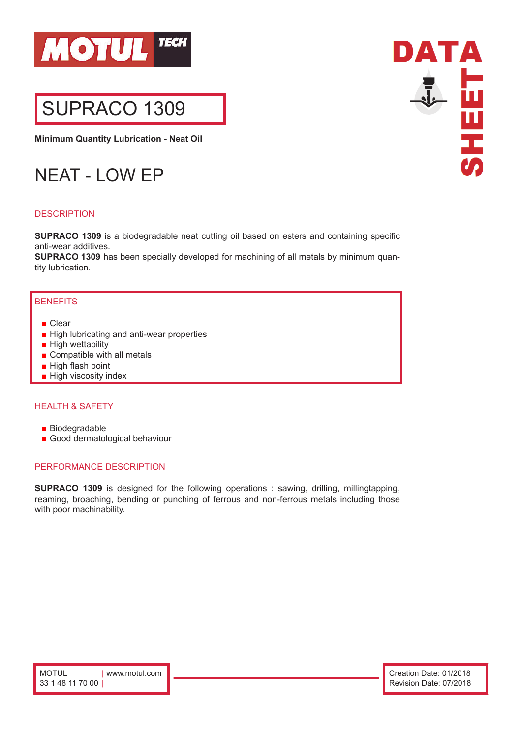

# SUPRACO 1309

**Minimum Quantity Lubrication - Neat Oil**

# NEAT - LOW EP

# **DESCRIPTION**

**SUPRACO 1309** is a biodegradable neat cutting oil based on esters and containing specific anti-wear additives.

**SUPRACO 1309** has been specially developed for machining of all metals by minimum quantity lubrication.

## **BENEFITS**

- Clear
- High lubricating and anti-wear properties
- High wettability
- Compatible with all metals
- High flash point
- High viscosity index

#### HEALTH & SAFETY

- Biodegradable
- Good dermatological behaviour

### PERFORMANCE DESCRIPTION

**SUPRACO 1309** is designed for the following operations : sawing, drilling, millingtapping, reaming, broaching, bending or punching of ferrous and non-ferrous metals including those with poor machinability.